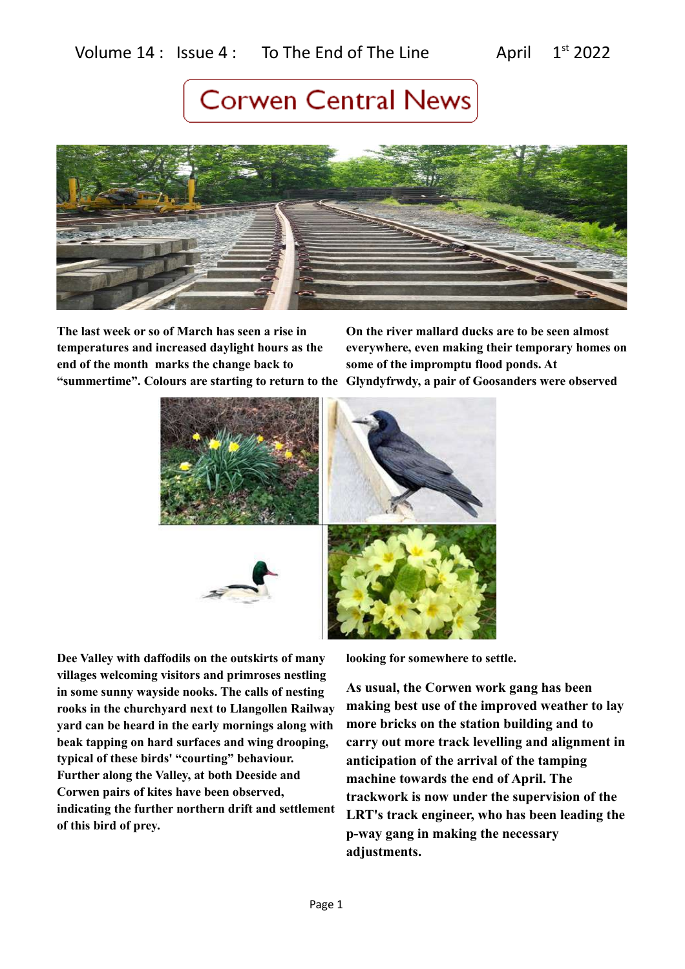## Volume  $14$  : Issue  $4$  : To The End of The Line April  $1^{st}$  2022

# **Corwen Central News**



**The last week or so of March has seen a rise in temperatures and increased daylight hours as the end of the month marks the change back to** 

**"summertime". Colours are starting to return to the Glyndyfrwdy, a pair of Goosanders were observed On the river mallard ducks are to be seen almost everywhere, even making their temporary homes on some of the impromptu flood ponds. At** 



**Dee Valley with daffodils on the outskirts of many villages welcoming visitors and primroses nestling in some sunny wayside nooks. The calls of nesting rooks in the churchyard next to Llangollen Railway yard can be heard in the early mornings along with beak tapping on hard surfaces and wing drooping, typical of these birds' "courting" behaviour. Further along the Valley, at both Deeside and Corwen pairs of kites have been observed, indicating the further northern drift and settlement of this bird of prey.**

**looking for somewhere to settle.**

**As usual, the Corwen work gang has been making best use of the improved weather to lay more bricks on the station building and to carry out more track levelling and alignment in anticipation of the arrival of the tamping machine towards the end of April. The trackwork is now under the supervision of the LRT's track engineer, who has been leading the p-way gang in making the necessary adjustments.**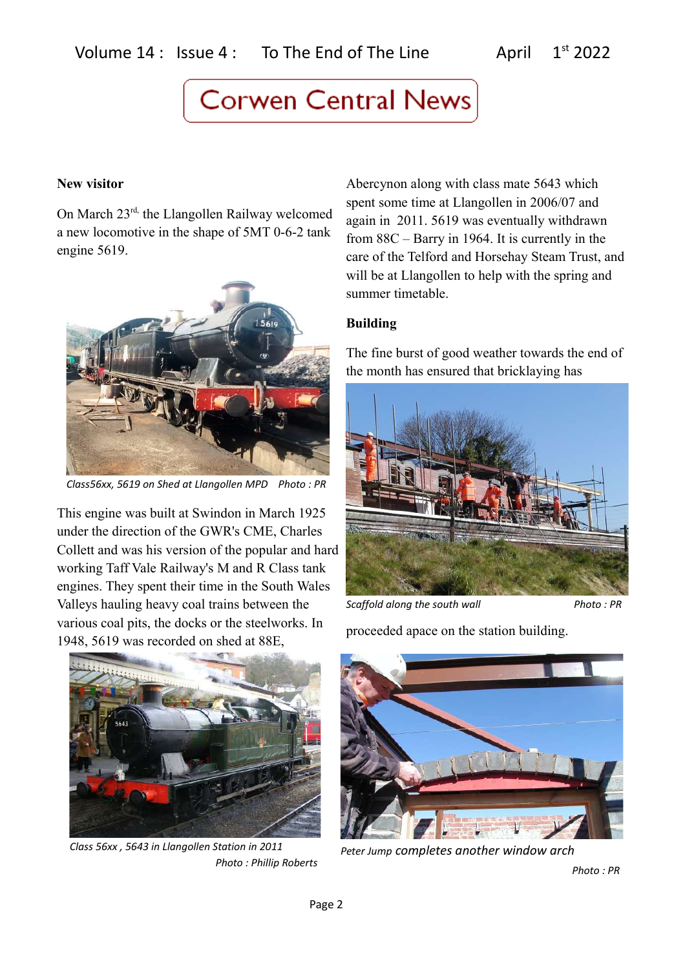### **New visitor**

On March 23rd, the Llangollen Railway welcomed a new locomotive in the shape of 5MT 0-6-2 tank engine 5619.



*Class56xx, 5619 on Shed at Llangollen MPD Photo : PR*

This engine was built at Swindon in March 1925 under the direction of the GWR's CME, Charles Collett and was his version of the popular and hard working Taff Vale Railway's M and R Class tank engines. They spent their time in the South Wales Valleys hauling heavy coal trains between the various coal pits, the docks or the steelworks. In 1948, 5619 was recorded on shed at 88E,

Abercynon along with class mate 5643 which spent some time at Llangollen in 2006/07 and again in 2011. 5619 was eventually withdrawn from 88C – Barry in 1964. It is currently in the care of the Telford and Horsehay Steam Trust, and will be at Llangollen to help with the spring and summer timetable.

### **Building**

The fine burst of good weather towards the end of the month has ensured that bricklaying has



*Scaffold along the south wall* Photo: PR

proceeded apace on the station building.



*Class 56xx , 5643 in Llangollen Station in 2011 Photo : Phillip Roberts*



*Peter Jump completes another window arch* 

 *Photo : PR*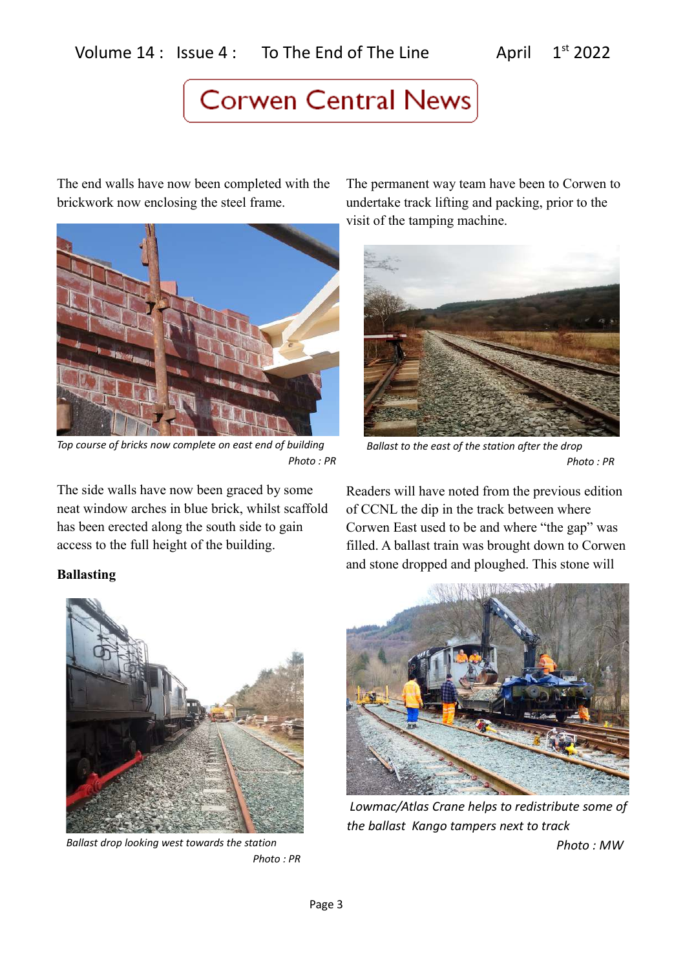The end walls have now been completed with the brickwork now enclosing the steel frame.



*Top course of bricks now complete on east end of building Photo : PR*

The side walls have now been graced by some neat window arches in blue brick, whilst scaffold has been erected along the south side to gain access to the full height of the building.

The permanent way team have been to Corwen to undertake track lifting and packing, prior to the visit of the tamping machine.



 *Ballast to the east of the station after the drop Photo : PR*

Readers will have noted from the previous edition of CCNL the dip in the track between where Corwen East used to be and where "the gap" was filled. A ballast train was brought down to Corwen and stone dropped and ploughed. This stone will

## **Ballasting**



*Ballast drop looking west towards the station Photo : PR*



 *Lowmac/Atlas Crane helps to redistribute some of the ballast Kango tampers next to track* 

 *Photo : MW*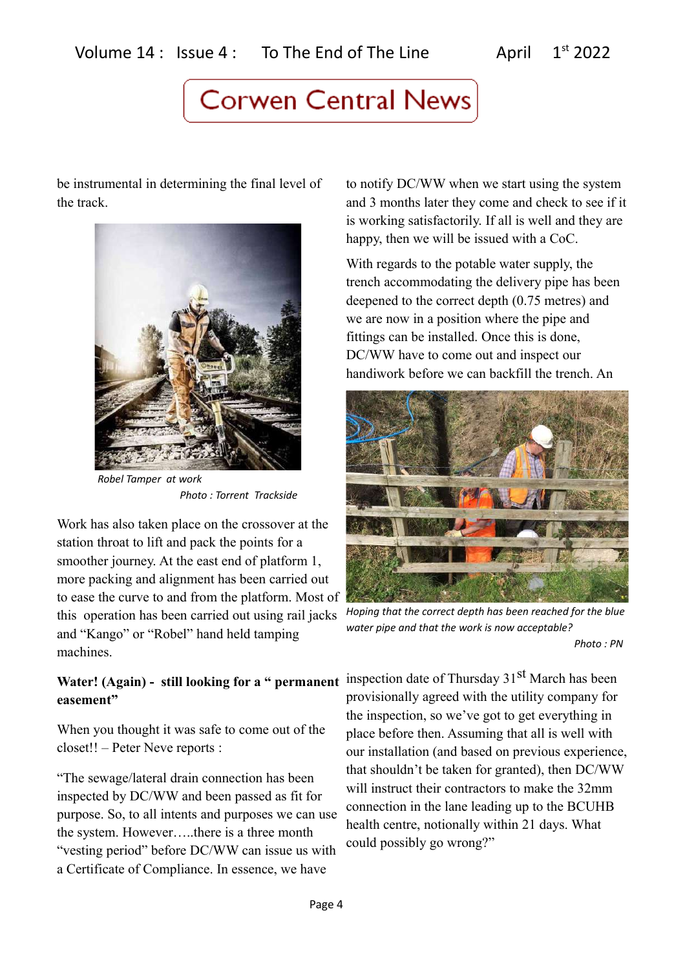be instrumental in determining the final level of the track.



 *Robel Tamper at work Photo : Torrent Trackside*

Work has also taken place on the crossover at the station throat to lift and pack the points for a smoother journey. At the east end of platform 1, more packing and alignment has been carried out to ease the curve to and from the platform. Most of this operation has been carried out using rail jacks and "Kango" or "Robel" hand held tamping machines.

## **Water! (Again) - still looking for a " permanent easement"**

When you thought it was safe to come out of the closet!! – Peter Neve reports :

"The sewage/lateral drain connection has been inspected by DC/WW and been passed as fit for purpose. So, to all intents and purposes we can use the system. However…..there is a three month "vesting period" before DC/WW can issue us with a Certificate of Compliance. In essence, we have

to notify DC/WW when we start using the system and 3 months later they come and check to see if it is working satisfactorily. If all is well and they are happy, then we will be issued with a CoC.

With regards to the potable water supply, the trench accommodating the delivery pipe has been deepened to the correct depth (0.75 metres) and we are now in a position where the pipe and fittings can be installed. Once this is done, DC/WW have to come out and inspect our handiwork before we can backfill the trench. An



*Hoping that the correct depth has been reached for the blue water pipe and that the work is now acceptable? Photo : PN*

inspection date of Thursday  $31<sup>st</sup>$  March has been provisionally agreed with the utility company for the inspection, so we've got to get everything in place before then. Assuming that all is well with our installation (and based on previous experience, that shouldn't be taken for granted), then DC/WW will instruct their contractors to make the 32mm connection in the lane leading up to the BCUHB health centre, notionally within 21 days. What could possibly go wrong?"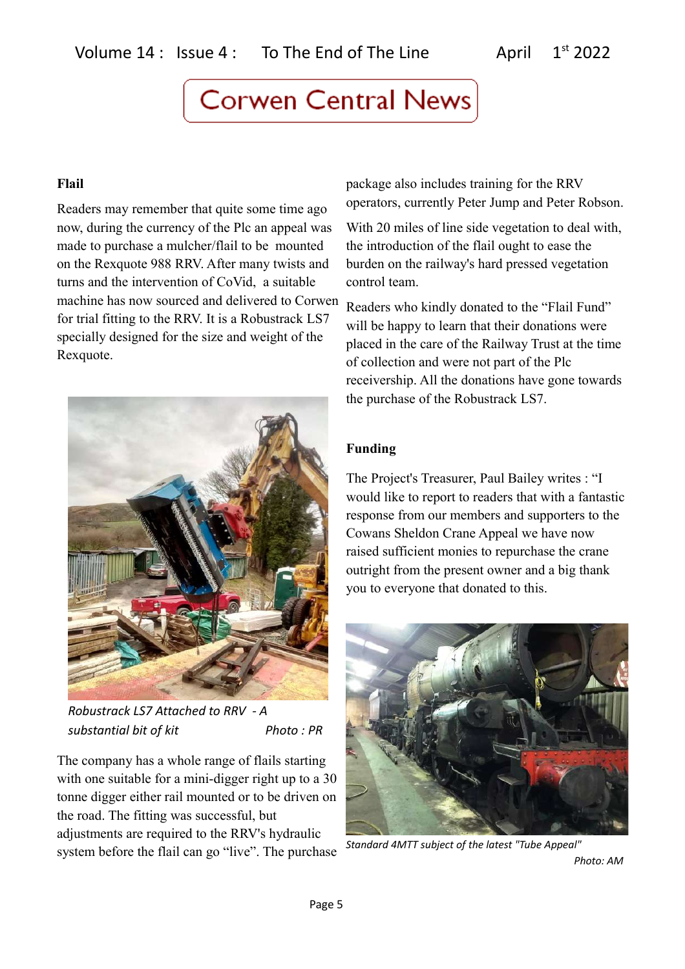## **Flail**

Readers may remember that quite some time ago now, during the currency of the Plc an appeal was made to purchase a mulcher/flail to be mounted on the Rexquote 988 RRV. After many twists and turns and the intervention of CoVid, a suitable machine has now sourced and delivered to Corwen for trial fitting to the RRV. It is a Robustrack LS7 specially designed for the size and weight of the Rexquote.



*Robustrack LS7 Attached to RRV - A substantial bit of kit Photo : PR*

The company has a whole range of flails starting with one suitable for a mini-digger right up to a 30 tonne digger either rail mounted or to be driven on the road. The fitting was successful, but adjustments are required to the RRV's hydraulic system before the flail can go "live". The purchase

package also includes training for the RRV operators, currently Peter Jump and Peter Robson.

With 20 miles of line side vegetation to deal with, the introduction of the flail ought to ease the burden on the railway's hard pressed vegetation control team.

Readers who kindly donated to the "Flail Fund" will be happy to learn that their donations were placed in the care of the Railway Trust at the time of collection and were not part of the Plc receivership. All the donations have gone towards the purchase of the Robustrack LS7.

### **Funding**

The Project's Treasurer, Paul Bailey writes : "I would like to report to readers that with a fantastic response from our members and supporters to the Cowans Sheldon Crane Appeal we have now raised sufficient monies to repurchase the crane outright from the present owner and a big thank you to everyone that donated to this.



*Standard 4MTT subject of the latest "Tube Appeal"* 

 *Photo: AM*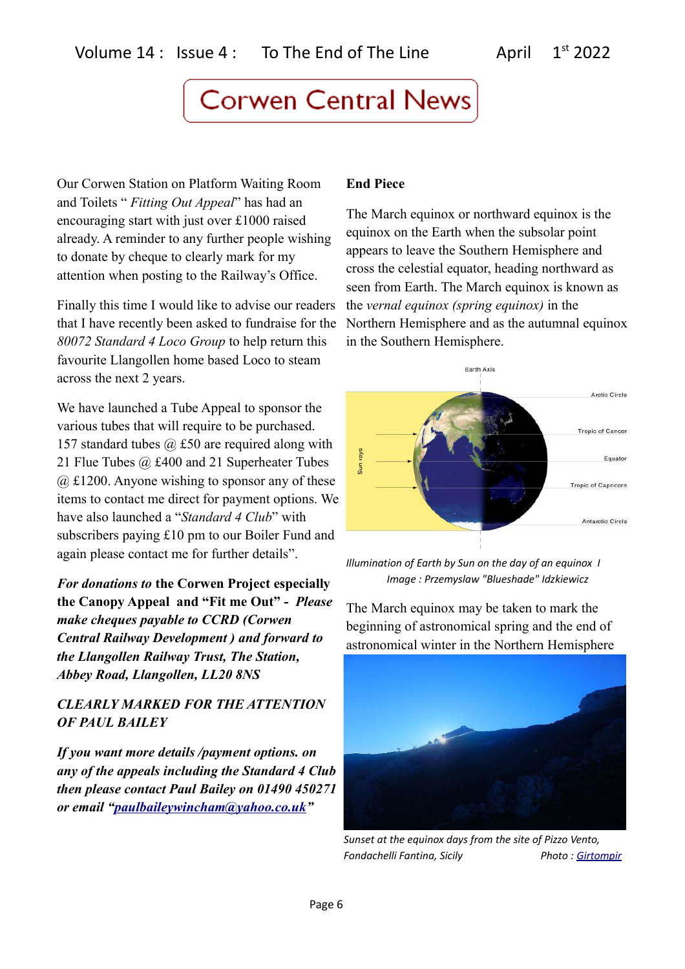Our Corwen Station on Platform Waiting Room and Toilets " *Fitting Out Appeal*" has had an encouraging start with just over £1000 raised already. A reminder to any further people wishing to donate by cheque to clearly mark for my attention when posting to the Railway's Office.

Finally this time I would like to advise our readers that I have recently been asked to fundraise for the *80072 Standard 4 Loco Group* to help return this favourite Llangollen home based Loco to steam across the next 2 years.

We have launched a Tube Appeal to sponsor the various tubes that will require to be purchased. 157 standard tubes @ £50 are required along with 21 Flue Tubes @ £400 and 21 Superheater Tubes  $(a)$  £1200. Anyone wishing to sponsor any of these items to contact me direct for payment options. We have also launched a "*Standard 4 Club*" with subscribers paying £10 pm to our Boiler Fund and again please contact me for further details".

*For donations to* **the Corwen Project especially the Canopy Appeal and "Fit me Out" -** *Please make cheques payable to CCRD (Corwen Central Railway Development ) and forward to the Llangollen Railway Trust, The Station, Abbey Road, Llangollen, LL20 8NS*

## *CLEARLY MARKED FOR THE ATTENTION OF PAUL BAILEY*

*If you want more details /payment options. on any of the appeals including the Standard 4 Club then please contact Paul Bailey on 01490 450271 or email ["paulbaileywincham@yahoo.co.uk"](mailto:paulbaileywincham@yahoo.co.uk)*

## **End Piece**

The March equinox or northward equinox is the equinox on the Earth when the subsolar point appears to leave the Southern Hemisphere and cross the celestial equator, heading northward as seen from Earth. The March equinox is known as the *vernal equinox (spring equinox)* in the Northern Hemisphere and as the autumnal equinox in the Southern Hemisphere.



*Illumination of Earth by Sun on the day of an equinox I Image : Przemyslaw "Blueshade" Idzkiewicz* 

The March equinox may be taken to mark the beginning of astronomical spring and the end of astronomical winter in the Northern Hemisphere



*Sunset at the equinox days from the site of Pizzo Vento, Fondachelli Fantina, Sicily Photo : [Girtompir](https://commons.wikimedia.org/w/index.php?title=User:Girtompir&action=edit&redlink=1)*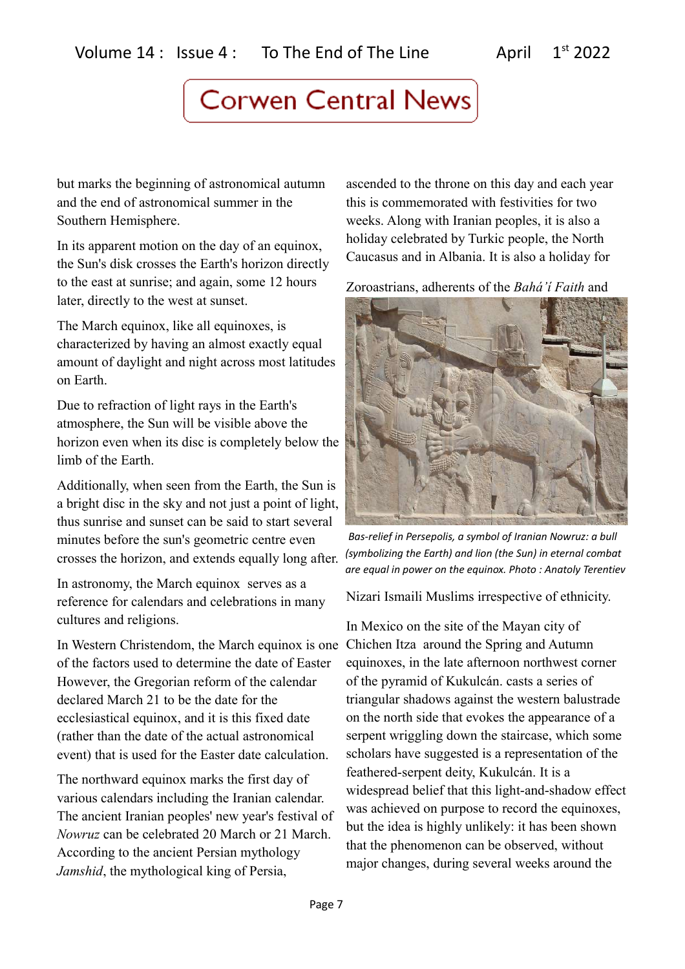but marks the beginning of astronomical autumn and the end of astronomical summer in the Southern Hemisphere.

In its apparent motion on the day of an equinox, the Sun's disk crosses the Earth's horizon directly to the east at sunrise; and again, some 12 hours later, directly to the west at sunset.

The March equinox, like all equinoxes, is characterized by having an almost exactly equal amount of daylight and night across most latitudes on Earth.

Due to refraction of light rays in the Earth's atmosphere, the Sun will be visible above the horizon even when its disc is completely below the limb of the Earth.

Additionally, when seen from the Earth, the Sun is a bright disc in the sky and not just a point of light, thus sunrise and sunset can be said to start several minutes before the sun's geometric centre even crosses the horizon, and extends equally long after.

In astronomy, the March equinox serves as a reference for calendars and celebrations in many cultures and religions.

In Western Christendom, the March equinox is one of the factors used to determine the date of Easter However, the Gregorian reform of the calendar declared March 21 to be the date for the ecclesiastical equinox, and it is this fixed date (rather than the date of the actual astronomical event) that is used for the Easter date calculation.

The northward equinox marks the first day of various calendars including the Iranian calendar. The ancient Iranian peoples' new year's festival of *Nowruz* can be celebrated 20 March or 21 March. According to the ancient Persian mythology *Jamshid*, the mythological king of Persia,

ascended to the throne on this day and each year this is commemorated with festivities for two weeks. Along with Iranian peoples, it is also a holiday celebrated by Turkic people, the North Caucasus and in Albania. It is also a holiday for

Zoroastrians, adherents of the *Bahá'í Faith* and



*Bas-relief in Persepolis, a symbol of Iranian Nowruz: a bull (symbolizing the Earth) and lion (the Sun) in eternal combat are equal in power on the equinox. Photo : Anatoly Terentiev*

Nizari Ismaili Muslims irrespective of ethnicity.

In Mexico on the site of the Mayan city of Chichen Itza around the Spring and Autumn equinoxes, in the late afternoon northwest corner of the pyramid of Kukulcán. casts a series of triangular shadows against the western balustrade on the north side that evokes the appearance of a serpent wriggling down the staircase, which some scholars have suggested is a representation of the feathered-serpent deity, Kukulcán. It is a widespread belief that this light-and-shadow effect was achieved on purpose to record the equinoxes, but the idea is highly unlikely: it has been shown that the phenomenon can be observed, without major changes, during several weeks around the